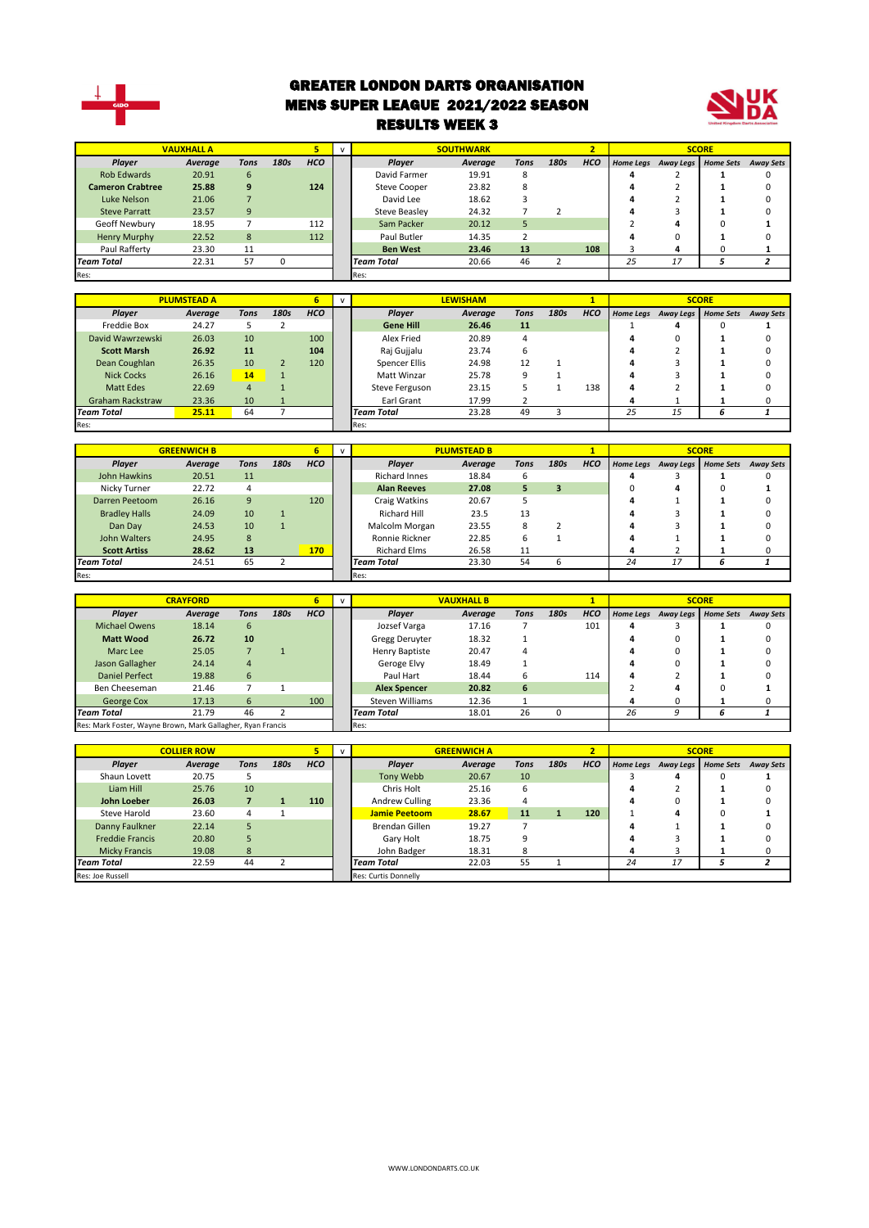

#### GREATER LONDON DARTS ORGANISATION MENS SUPER LEAGUE 2021/2022 SEASON RESULTS WEEK 3



|                         | <b>VAUXHALL A</b> |      |      |            |                     | <b>SOUTHWARK</b> |      |      | $\bullet$  |    |                     | <b>SCORE</b>     |                  |
|-------------------------|-------------------|------|------|------------|---------------------|------------------|------|------|------------|----|---------------------|------------------|------------------|
| Player                  | Average           | Tons | 180s | <b>HCO</b> | <b>Plaver</b>       | Average          | Tons | 180s | <b>HCO</b> |    | Home Legs Away Legs | <b>Home Sets</b> | <b>Away Sets</b> |
| Rob Edwards             | 20.91             | 6    |      |            | David Farmer        | 19.91            | 8    |      |            | 4  |                     |                  |                  |
| <b>Cameron Crabtree</b> | 25.88             | 9    |      | 124        | <b>Steve Cooper</b> | 23.82            | 8    |      |            |    |                     |                  |                  |
| Luke Nelson             | 21.06             |      |      |            | David Lee           | 18.62            |      |      |            |    |                     |                  |                  |
| <b>Steve Parratt</b>    | 23.57             | 9    |      |            | Steve Beasley       | 24.32            |      |      |            |    |                     |                  |                  |
| Geoff Newbury           | 18.95             |      |      | 112        | Sam Packer          | 20.12            |      |      |            |    |                     |                  |                  |
| Henry Murphy            | 22.52             | 8    |      | 112        | Paul Butler         | 14.35            |      |      |            |    |                     |                  |                  |
| Paul Rafferty           | 23.30             | 11   |      |            | <b>Ben West</b>     | 23.46            | 13   |      | 108        |    |                     |                  |                  |
| <b>Team Total</b>       | 22.31             | 57   |      |            | <b>Team Total</b>   | 20.66            | 46   |      |            | 25 | 17                  |                  |                  |
| Res:                    |                   |      |      |            | Res:                |                  |      |      |            |    |                     |                  |                  |

|                         | <b>PLUMSTEAD A</b> |                |      |            |                   | <b>LEWISHAM</b> |      |      |     |                  |    | <b>SCORE</b>        |                  |
|-------------------------|--------------------|----------------|------|------------|-------------------|-----------------|------|------|-----|------------------|----|---------------------|------------------|
| Player                  | Average            | Tons           | 180s | <b>HCO</b> | Player            | Average         | Tons | 180s | HCO | <b>Home Legs</b> |    | Away Legs Home Sets | <b>Away Sets</b> |
| Freddie Box             | 24.27              |                |      |            | <b>Gene Hill</b>  | 26.46           | 11   |      |     |                  | д  | 0                   |                  |
| David Wawrzewski        | 26.03              | 10             |      | 100        | Alex Fried        | 20.89           | 4    |      |     | 4                | 0  |                     |                  |
| <b>Scott Marsh</b>      | 26.92              | 11             |      | 104        | Raj Gujjalu       | 23.74           | 6    |      |     | 4                |    |                     |                  |
| Dean Coughlan           | 26.35              | 10             |      | 120        | Spencer Ellis     | 24.98           | 12   |      |     | 4                |    |                     |                  |
| <b>Nick Cocks</b>       | 26.16              | 14             |      |            | Matt Winzar       | 25.78           | 9    |      |     | 4                |    |                     | <sup>0</sup>     |
| Matt Edes               | 22.69              | $\overline{4}$ |      |            | Steve Ferguson    | 23.15           |      |      | 138 | 4                |    |                     |                  |
| <b>Graham Rackstraw</b> | 23.36              | 10             |      |            | Earl Grant        | 17.99           |      |      |     | 4                |    |                     |                  |
| <b>Team Total</b>       | 25.11              | 64             |      |            | <b>Team Total</b> | 23.28           | 49   |      |     | 25               | 15 |                     |                  |
| Res:                    |                    |                |      |            | Res:              |                 |      |      |     |                  |    |                     |                  |

|                      | <b>GREENWICH B</b> |      |      |            | $\mathbf{v}$ |                      | <b>PLUMSTEAD B</b> |      |      |            |    |                               | <b>SCORE</b> |                  |
|----------------------|--------------------|------|------|------------|--------------|----------------------|--------------------|------|------|------------|----|-------------------------------|--------------|------------------|
| Player               | Average            | Tons | 180s | <b>HCO</b> |              | Player               | Average            | Tons | 180s | <b>HCO</b> |    | Home Legs Away Legs Home Sets |              | <b>Away Sets</b> |
| John Hawkins         | 20.51              | 11   |      |            |              | <b>Richard Innes</b> | 18.84              | 6    |      |            |    |                               |              |                  |
| Nicky Turner         | 22.72              | 4    |      |            |              | <b>Alan Reeves</b>   | 27.08              | 5.   | з    |            |    | 4                             |              |                  |
| Darren Peetoom       | 26.16              | 9    |      | 120        |              | Craig Watkins        | 20.67              |      |      |            |    |                               |              |                  |
| <b>Bradley Halls</b> | 24.09              | 10   |      |            |              | Richard Hill         | 23.5               | 13   |      |            |    |                               |              |                  |
| Dan Day              | 24.53              | 10   |      |            |              | Malcolm Morgan       | 23.55              | ጸ    |      |            |    |                               |              |                  |
| John Walters         | 24.95              | 8    |      |            |              | Ronnie Rickner       | 22.85              |      |      |            |    |                               |              |                  |
| <b>Scott Artiss</b>  | 28.62              | 13   |      | 170        |              | <b>Richard Elms</b>  | 26.58              | 11   |      |            | 4  |                               |              |                  |
| <b>Team Total</b>    | 24.51              | 65   |      |            |              | <b>Team Total</b>    | 23.30              | 54   | b    |            | 24 | 17                            | ь            |                  |
| Res:                 |                    |      |      |            |              | Res:                 |                    |      |      |            |    |                               |              |                  |

|                                                             | <b>CRAYFORD</b> |      |      |            |                       | <b>VAUXHALL B</b> |      |      |            |                  |           | <b>SCORE</b>     |                  |
|-------------------------------------------------------------|-----------------|------|------|------------|-----------------------|-------------------|------|------|------------|------------------|-----------|------------------|------------------|
| Player                                                      | Average         | Tons | 180s | <b>HCO</b> | <b>Plaver</b>         | Average           | Tons | 180s | <b>HCO</b> | <b>Home Leas</b> | Away Legs | <b>Home Sets</b> | <b>Away Sets</b> |
| <b>Michael Owens</b>                                        | 18.14           | 6    |      |            | Jozsef Varga          | 17.16             |      |      | 101        | 4                |           |                  |                  |
| <b>Matt Wood</b>                                            | 26.72           | 10   |      |            | <b>Gregg Deruyter</b> | 18.32             |      |      |            | д                |           |                  |                  |
| Marc Lee                                                    | 25.05           |      |      |            | Henry Baptiste        | 20.47             |      |      |            |                  |           |                  |                  |
| Jason Gallagher                                             | 24.14           | 4    |      |            | Geroge Elvy           | 18.49             |      |      |            |                  |           |                  |                  |
| Daniel Perfect                                              | 19.88           | 6    |      |            | Paul Hart             | 18.44             |      |      | 114        | 4                |           |                  |                  |
| Ben Cheeseman                                               | 21.46           |      |      |            | <b>Alex Spencer</b>   | 20.82             | 6    |      |            |                  | 4         | <sup>0</sup>     |                  |
| George Cox                                                  | 17.13           | 6    |      | 100        | Steven Williams       | 12.36             |      |      |            |                  |           |                  |                  |
| <b>Team Total</b>                                           | 21.79           | 46   |      |            | <b>Team Total</b>     | 18.01             | 26   |      |            | 26               |           | ь                |                  |
| Res: Mark Foster, Wayne Brown, Mark Gallagher, Ryan Francis |                 |      |      |            | Res:                  |                   |      |      |            |                  |           |                  |                  |

|                        | <b>COLLIER ROW</b> |      |      |            | $\mathbf{v}$ |                                  | <b>GREENWICH A</b> |      |      | $\overline{2}$ |                  |           | <b>SCORE</b>     |                  |
|------------------------|--------------------|------|------|------------|--------------|----------------------------------|--------------------|------|------|----------------|------------------|-----------|------------------|------------------|
| <b>Plaver</b>          | Average            | Tons | 180s | <b>HCO</b> |              | <b>Plaver</b>                    | Average            | Tons | 180s | <b>HCO</b>     | <b>Home Leas</b> | Away Legs | <b>Home Sets</b> | <b>Away Sets</b> |
| Shaun Lovett           | 20.75              |      |      |            |              | Tony Webb                        | 20.67              | 10   |      |                |                  |           |                  |                  |
| Liam Hill              | 25.76              | 10   |      |            |              | Chris Holt                       | 25.16              | b    |      |                |                  |           |                  |                  |
| John Loeber            | 26.03              |      |      | 110        |              | Andrew Culling                   | 23.36              | 4    |      |                | 4                |           |                  |                  |
| Steve Harold           | 23.60              | 4    |      |            |              | 28.67<br><b>Jamie Peetoom</b>    |                    | 11   |      | 120            |                  |           |                  |                  |
| Danny Faulkner         | 22.14              |      |      |            |              | Brendan Gillen                   | 19.27              |      |      |                |                  |           |                  |                  |
| <b>Freddie Francis</b> | 20.80              |      |      |            |              | Gary Holt                        | 18.75              | ٩    |      |                |                  |           |                  |                  |
| <b>Micky Francis</b>   | 19.08              | 8    |      |            |              | John Badger<br>18.31             |                    | 8    |      |                | 4                |           |                  |                  |
| <b>Team Total</b>      | 22.59              | 44   |      |            |              | 22.03<br>55<br><b>Team Total</b> |                    |      |      | 24             | 17               |           |                  |                  |
| Res: Joe Russell       |                    |      |      |            |              | Res: Curtis Donnelly             |                    |      |      |                |                  |           |                  |                  |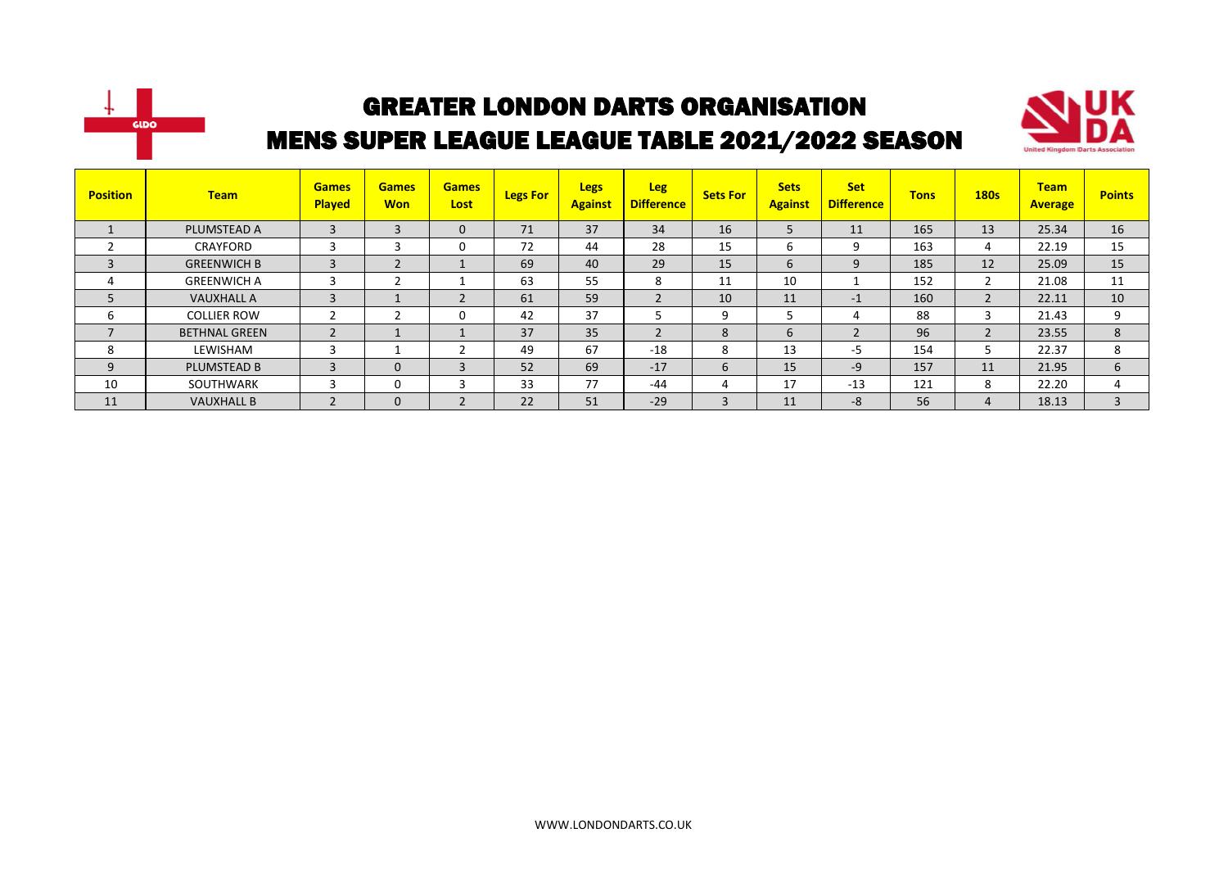



| <b>Position</b> | <b>Team</b>          | <b>Games</b><br><b>Played</b> | <b>Games</b><br><b>Won</b> | <b>Games</b><br>Lost | <b>Legs For</b> | <b>Legs</b><br><b>Against</b> | <b>Leg</b><br><b>Difference</b> | <b>Sets For</b> | <b>Sets</b><br><b>Against</b> | <b>Set</b><br><b>Difference</b> | <b>Tons</b> | <b>180s</b>              | <b>Team</b><br><b>Average</b> | <b>Points</b> |
|-----------------|----------------------|-------------------------------|----------------------------|----------------------|-----------------|-------------------------------|---------------------------------|-----------------|-------------------------------|---------------------------------|-------------|--------------------------|-------------------------------|---------------|
|                 | PLUMSTEAD A          | 3                             | 3                          | 0                    | 71              | 37                            | 34                              | 16              |                               | 11                              | 165         | 13                       | 25.34                         | 16            |
|                 | <b>CRAYFORD</b>      |                               | 3                          | 0                    | 72              | 44                            | 28                              | 15              | b                             | 9                               | 163         | 4                        | 22.19                         | 15            |
| 3               | <b>GREENWICH B</b>   | 3                             | $\overline{2}$             |                      | 69              | 40                            | 29                              | 15              | 6                             | 9                               | 185         | 12                       | 25.09                         | 15            |
| 4               | <b>GREENWICH A</b>   |                               | r                          |                      | 63              | 55                            | 8                               | 11              | 10                            | ÷                               | 152         |                          | 21.08                         | 11            |
| 5               | <b>VAUXHALL A</b>    | 3                             | $\overline{ }$             |                      | 61              | 59                            | $\overline{2}$                  | 10              | 11                            | $-1$                            | 160         | $\overline{2}$           | 22.11                         | 10            |
| ь               | <b>COLLIER ROW</b>   |                               | h                          | 0                    | 42              | 37                            |                                 | q               |                               | 4                               | 88          | 3                        | 21.43                         | 9             |
|                 | <b>BETHNAL GREEN</b> |                               |                            |                      | 37              | 35                            | $\overline{2}$                  | 8               | 6                             |                                 | 96          | $\overline{\phantom{0}}$ | 23.55                         | 8             |
| 8               | LEWISHAM             | 3                             |                            |                      | 49              | 67                            | $-18$                           | 8               | 13                            | -5                              | 154         | כ                        | 22.37                         | 8             |
| 9               | <b>PLUMSTEAD B</b>   | 3                             | $\mathbf{0}$               | 3                    | 52              | 69                            | $-17$                           | 6               | 15                            | -9                              | 157         | 11                       | 21.95                         | 6             |
| 10              | <b>SOUTHWARK</b>     |                               | 0                          |                      | 33              | 77                            | $-44$                           | 4               | 17                            | $-13$                           | 121         | 8                        | 22.20                         | Д             |
| 11              | <b>VAUXHALL B</b>    |                               | $\mathbf 0$                |                      | 22              | 51                            | $-29$                           |                 | 11                            | $-8$                            | 56          | $\overline{4}$           | 18.13                         | $\mathbf{3}$  |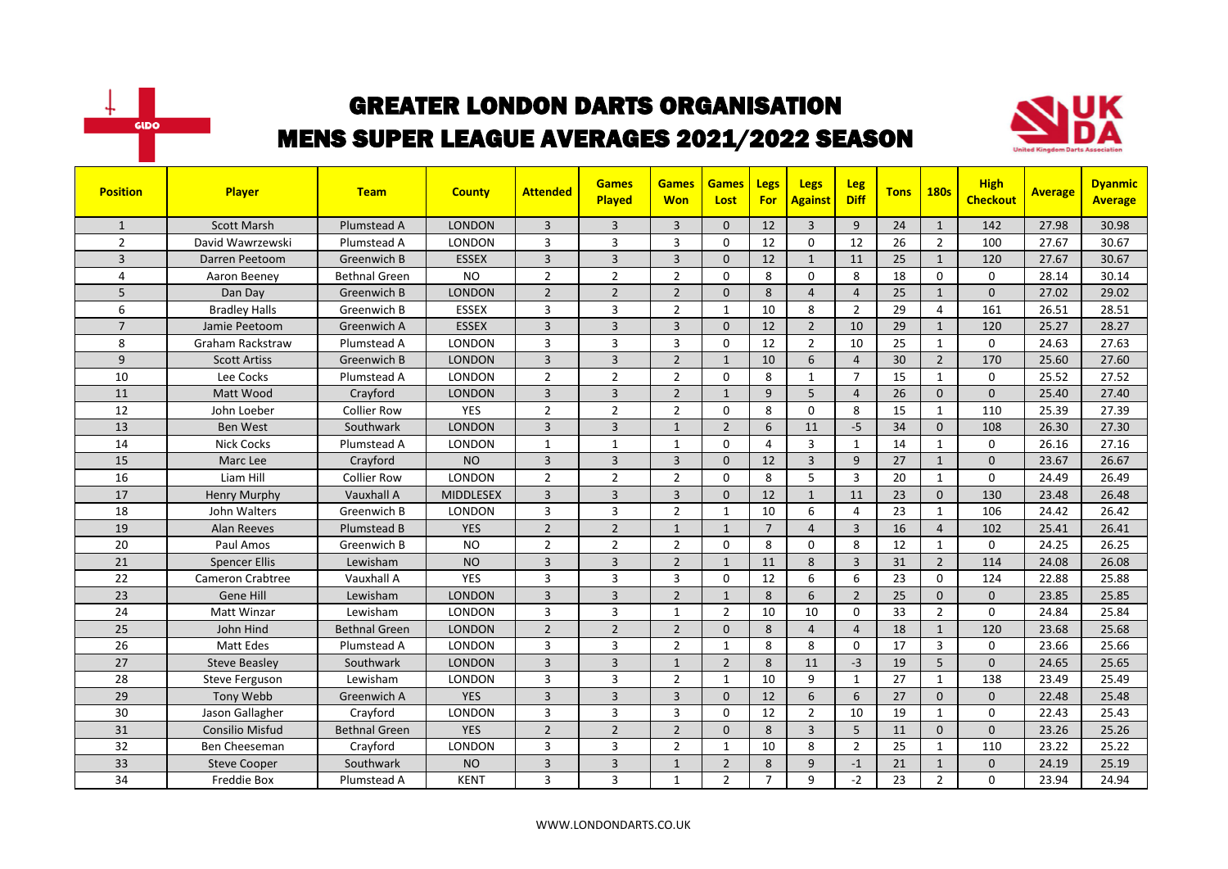



| <b>Position</b> | <b>Player</b>           | <b>Team</b>          | <b>County</b>    | <b>Attended</b> | <b>Games</b><br>Played | <b>Games</b><br><b>Won</b> | <b>Games</b><br>Lost | Legs<br>For    | <b>Legs</b><br><b>Against</b> | Leg<br><b>Diff</b> | <b>Tons</b> | <b>180s</b>    | <b>High</b><br><b>Checkout</b> | <b>Average</b> | <b>Dyanmic</b><br><b>Average</b> |
|-----------------|-------------------------|----------------------|------------------|-----------------|------------------------|----------------------------|----------------------|----------------|-------------------------------|--------------------|-------------|----------------|--------------------------------|----------------|----------------------------------|
| $\mathbf{1}$    | <b>Scott Marsh</b>      | Plumstead A          | <b>LONDON</b>    | 3               | $\overline{3}$         | 3                          | $\Omega$             | 12             | $\overline{3}$                | 9                  | 24          | $\mathbf{1}$   | 142                            | 27.98          | 30.98                            |
| $\overline{2}$  | David Wawrzewski        | Plumstead A          | <b>LONDON</b>    | 3               | 3                      | 3                          | $\Omega$             | 12             | $\Omega$                      | 12                 | 26          | $\overline{2}$ | 100                            | 27.67          | 30.67                            |
| 3               | Darren Peetoom          | Greenwich B          | <b>ESSEX</b>     | 3               | $\overline{3}$         | 3                          | $\mathbf{0}$         | 12             | $\mathbf{1}$                  | 11                 | 25          | $\mathbf{1}$   | 120                            | 27.67          | 30.67                            |
| 4               | Aaron Beeney            | Bethnal Green        | <b>NO</b>        | $\overline{2}$  | $\overline{2}$         | $\overline{2}$             | $\mathbf 0$          | 8              | $\mathbf 0$                   | 8                  | 18          | $\mathbf 0$    | 0                              | 28.14          | 30.14                            |
| 5               | Dan Day                 | Greenwich B          | <b>LONDON</b>    | $\overline{2}$  | $\overline{2}$         | $\overline{2}$             | $\Omega$             | 8              | $\overline{4}$                | $\overline{4}$     | 25          | $\mathbf{1}$   | $\Omega$                       | 27.02          | 29.02                            |
| 6               | <b>Bradley Halls</b>    | Greenwich B          | <b>ESSEX</b>     | $\overline{3}$  | $\overline{3}$         | $\overline{2}$             | $\mathbf{1}$         | 10             | 8                             | $\overline{2}$     | 29          | 4              | 161                            | 26.51          | 28.51                            |
| $\overline{7}$  | Jamie Peetoom           | Greenwich A          | <b>ESSEX</b>     | $\overline{3}$  | $\overline{3}$         | $\overline{3}$             | $\Omega$             | 12             | $\overline{2}$                | 10                 | 29          | $\mathbf{1}$   | 120                            | 25.27          | 28.27                            |
| 8               | <b>Graham Rackstraw</b> | Plumstead A          | <b>LONDON</b>    | 3               | $\overline{3}$         | 3                          | $\mathbf 0$          | 12             | $\overline{2}$                | 10                 | 25          | $\mathbf{1}$   | $\mathbf 0$                    | 24.63          | 27.63                            |
| 9               | <b>Scott Artiss</b>     | Greenwich B          | <b>LONDON</b>    | 3               | $\overline{3}$         | $\overline{2}$             | $\mathbf{1}$         | 10             | 6                             | $\overline{4}$     | 30          | $\overline{2}$ | 170                            | 25.60          | 27.60                            |
| 10              | Lee Cocks               | Plumstead A          | <b>LONDON</b>    | $\overline{2}$  | $\overline{2}$         | $\overline{2}$             | $\mathbf 0$          | 8              | $\mathbf{1}$                  | $\overline{7}$     | 15          | $\mathbf{1}$   | 0                              | 25.52          | 27.52                            |
| 11              | Matt Wood               | Crayford             | <b>LONDON</b>    | $\overline{3}$  | $\overline{3}$         | $\overline{2}$             | $\mathbf{1}$         | 9              | 5                             | $\overline{4}$     | 26          | $\Omega$       | $\Omega$                       | 25.40          | 27.40                            |
| 12              | John Loeber             | <b>Collier Row</b>   | <b>YES</b>       | $\overline{2}$  | $\overline{2}$         | $\overline{2}$             | $\Omega$             | 8              | $\Omega$                      | 8                  | 15          | $\mathbf{1}$   | 110                            | 25.39          | 27.39                            |
| 13              | <b>Ben West</b>         | Southwark            | <b>LONDON</b>    | 3               | $\overline{3}$         | $\mathbf{1}$               | $\overline{2}$       | 6              | 11                            | $-5$               | 34          | $\mathbf{0}$   | 108                            | 26.30          | 27.30                            |
| 14              | <b>Nick Cocks</b>       | Plumstead A          | <b>LONDON</b>    | $\mathbf{1}$    | $\mathbf{1}$           | $\mathbf{1}$               | $\Omega$             | 4              | $\overline{3}$                | $\mathbf{1}$       | 14          | $\mathbf{1}$   | $\mathbf 0$                    | 26.16          | 27.16                            |
| 15              | Marc Lee                | Crayford             | <b>NO</b>        | $\overline{3}$  | $\overline{3}$         | $\overline{3}$             | $\Omega$             | 12             | $\overline{3}$                | 9                  | 27          | $\mathbf{1}$   | 0                              | 23.67          | 26.67                            |
| 16              | Liam Hill               | <b>Collier Row</b>   | <b>LONDON</b>    | $\overline{2}$  | $\overline{2}$         | $\overline{2}$             | $\Omega$             | 8              | 5                             | 3                  | 20          | $\mathbf{1}$   | $\Omega$                       | 24.49          | 26.49                            |
| 17              | <b>Henry Murphy</b>     | Vauxhall A           | <b>MIDDLESEX</b> | 3               | $\overline{3}$         | $\overline{3}$             | $\Omega$             | 12             | $\mathbf{1}$                  | 11                 | 23          | $\mathbf{0}$   | 130                            | 23.48          | 26.48                            |
| 18              | John Walters            | Greenwich B          | LONDON           | 3               | $\overline{3}$         | $\overline{2}$             | $\mathbf{1}$         | 10             | 6                             | 4                  | 23          | $\mathbf{1}$   | 106                            | 24.42          | 26.42                            |
| 19              | <b>Alan Reeves</b>      | Plumstead B          | <b>YES</b>       | $\overline{2}$  | $\overline{2}$         | $\mathbf{1}$               | $\mathbf{1}$         | $\overline{7}$ | $\overline{a}$                | $\overline{3}$     | 16          | $\overline{4}$ | 102                            | 25.41          | 26.41                            |
| 20              | Paul Amos               | Greenwich B          | <b>NO</b>        | $\overline{2}$  | $\overline{2}$         | $\overline{2}$             | $\Omega$             | 8              | $\Omega$                      | 8                  | 12          | $\mathbf{1}$   | $\Omega$                       | 24.25          | 26.25                            |
| 21              | <b>Spencer Ellis</b>    | Lewisham             | <b>NO</b>        | 3               | $\overline{3}$         | $\overline{2}$             | $\mathbf{1}$         | 11             | 8                             | $\overline{3}$     | 31          | $2^{\circ}$    | 114                            | 24.08          | 26.08                            |
| 22              | <b>Cameron Crabtree</b> | Vauxhall A           | <b>YES</b>       | 3               | $\overline{3}$         | 3                          | $\mathbf 0$          | 12             | 6                             | 6                  | 23          | $\mathbf 0$    | 124                            | 22.88          | 25.88                            |
| 23              | Gene Hill               | Lewisham             | <b>LONDON</b>    | 3               | $\overline{3}$         | $\overline{2}$             | $\mathbf{1}$         | 8              | 6                             | $\overline{2}$     | 25          | $\mathbf{0}$   | $\mathbf{0}$                   | 23.85          | 25.85                            |
| 24              | Matt Winzar             | Lewisham             | <b>LONDON</b>    | 3               | $\overline{3}$         | 1                          | $\overline{2}$       | 10             | 10                            | $\Omega$           | 33          | $\overline{2}$ | $\Omega$                       | 24.84          | 25.84                            |
| 25              | John Hind               | <b>Bethnal Green</b> | <b>LONDON</b>    | $\overline{2}$  | $\overline{2}$         | $\overline{2}$             | $\mathbf{0}$         | 8              | $\overline{4}$                | $\overline{4}$     | 18          | $\mathbf{1}$   | 120                            | 23.68          | 25.68                            |
| 26              | <b>Matt Edes</b>        | Plumstead A          | <b>LONDON</b>    | 3               | $\overline{3}$         | $\overline{2}$             | $\mathbf{1}$         | 8              | 8                             | $\Omega$           | 17          | 3              | $\Omega$                       | 23.66          | 25.66                            |
| 27              | <b>Steve Beasley</b>    | Southwark            | <b>LONDON</b>    | 3               | $\overline{3}$         | $\mathbf{1}$               | $\overline{2}$       | 8              | 11                            | $-3$               | 19          | 5              | $\Omega$                       | 24.65          | 25.65                            |
| 28              | Steve Ferguson          | Lewisham             | <b>LONDON</b>    | 3               | $\overline{3}$         | $\overline{2}$             | $\mathbf{1}$         | 10             | 9                             | $\mathbf{1}$       | 27          | $\mathbf{1}$   | 138                            | 23.49          | 25.49                            |
| 29              | Tony Webb               | Greenwich A          | <b>YES</b>       | $\overline{3}$  | $\overline{3}$         | 3                          | $\Omega$             | 12             | 6                             | 6                  | 27          | $\mathbf{0}$   | $\mathbf{0}$                   | 22.48          | 25.48                            |
| 30              | Jason Gallagher         | Crayford             | <b>LONDON</b>    | 3               | $\overline{3}$         | 3                          | $\Omega$             | 12             | $\overline{2}$                | 10                 | 19          | $\mathbf{1}$   | $\Omega$                       | 22.43          | 25.43                            |
| 31              | <b>Consilio Misfud</b>  | <b>Bethnal Green</b> | <b>YES</b>       | $\overline{2}$  | $\overline{2}$         | $\overline{2}$             | $\Omega$             | 8              | $\overline{3}$                | 5                  | 11          | $\Omega$       | $\overline{0}$                 | 23.26          | 25.26                            |
| 32              | Ben Cheeseman           | Crayford             | LONDON           | 3               | 3                      | $\overline{2}$             | 1                    | 10             | 8                             | 2                  | 25          | $\mathbf{1}$   | 110                            | 23.22          | 25.22                            |
| 33              | <b>Steve Cooper</b>     | Southwark            | <b>NO</b>        | 3               | $\overline{3}$         | $\mathbf{1}$               | $\overline{2}$       | 8              | 9                             | $-1$               | 21          | $\mathbf{1}$   | 0                              | 24.19          | 25.19                            |
| 34              | Freddie Box             | Plumstead A          | <b>KENT</b>      | 3               | 3                      | $\mathbf{1}$               | $\overline{2}$       | $\overline{7}$ | 9                             | $-2$               | 23          | $\overline{2}$ | $\Omega$                       | 23.94          | 24.94                            |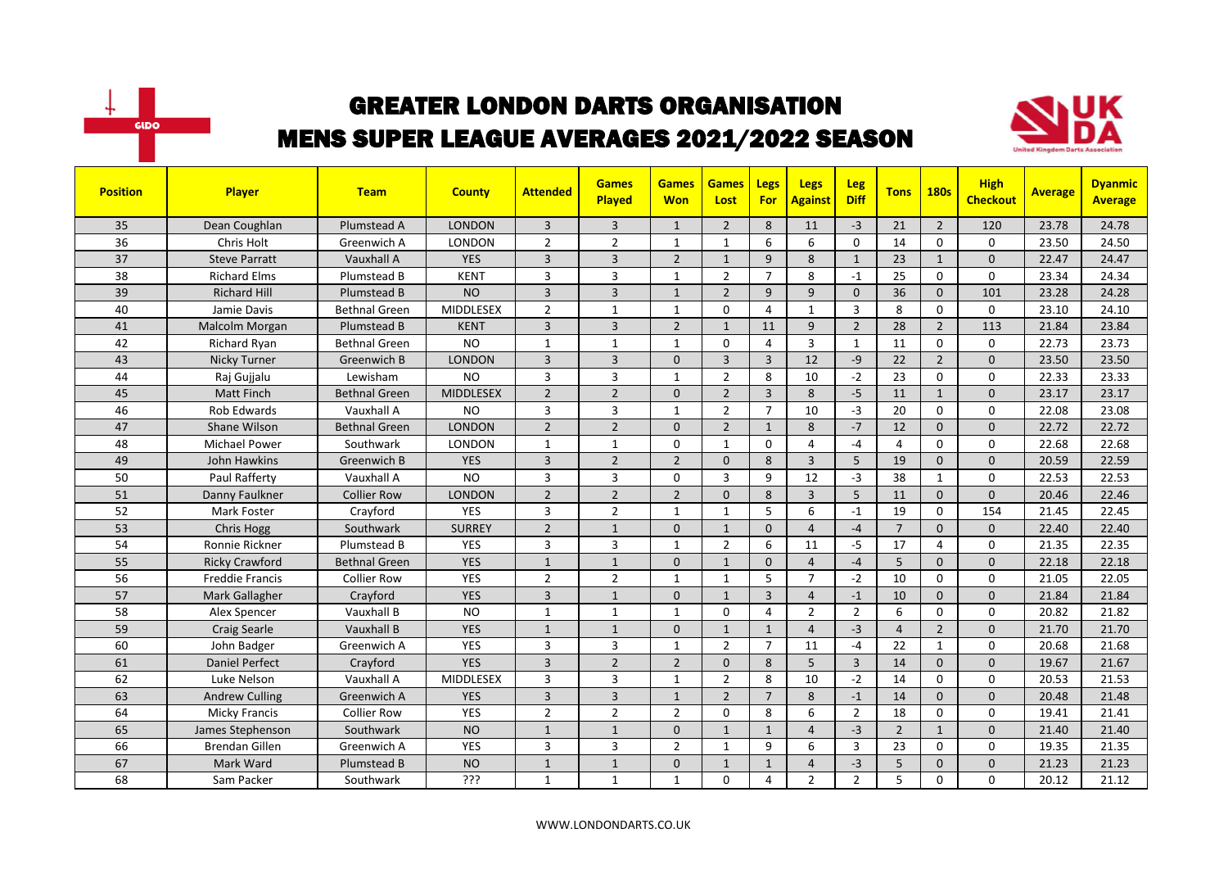



| <b>Position</b> | <b>Player</b>         | <b>Team</b>          | <b>County</b>    | <b>Attended</b> | <b>Games</b><br>Played | <b>Games</b><br><b>Won</b> | <b>Games</b><br>Lost | Legs<br>For    | <b>Legs</b><br>Against | Leg<br><b>Diff</b> | <b>Tons</b>    | <b>180s</b>    | <b>High</b><br><b>Checkout</b> | <b>Average</b> | <b>Dyanmic</b><br><b>Average</b> |
|-----------------|-----------------------|----------------------|------------------|-----------------|------------------------|----------------------------|----------------------|----------------|------------------------|--------------------|----------------|----------------|--------------------------------|----------------|----------------------------------|
| 35              | Dean Coughlan         | Plumstead A          | <b>LONDON</b>    | $\overline{3}$  | $\overline{3}$         | $\mathbf{1}$               | $\overline{2}$       | 8              | 11                     | $-3$               | 21             | $\overline{2}$ | 120                            | 23.78          | 24.78                            |
| 36              | Chris Holt            | Greenwich A          | <b>LONDON</b>    | $\overline{2}$  | $\overline{2}$         | $\mathbf{1}$               | 1                    | 6              | 6                      | $\Omega$           | 14             | $\Omega$       | $\Omega$                       | 23.50          | 24.50                            |
| 37              | <b>Steve Parratt</b>  | Vauxhall A           | <b>YES</b>       | $\overline{3}$  | $\overline{3}$         | $\overline{2}$             | $\mathbf{1}$         | 9              | 8                      | $\mathbf{1}$       | 23             | $\mathbf{1}$   | $\mathbf{0}$                   | 22.47          | 24.47                            |
| 38              | <b>Richard Elms</b>   | Plumstead B          | <b>KENT</b>      | 3               | 3                      | 1                          | $\overline{2}$       | $\overline{7}$ | 8                      | $-1$               | 25             | $\mathbf 0$    | $\mathbf 0$                    | 23.34          | 24.34                            |
| 39              | <b>Richard Hill</b>   | Plumstead B          | <b>NO</b>        | $\overline{3}$  | $\overline{3}$         | $\mathbf{1}$               | $\overline{2}$       | 9              | 9                      | $\mathbf{0}$       | 36             | $\mathbf{0}$   | 101                            | 23.28          | 24.28                            |
| 40              | Jamie Davis           | <b>Bethnal Green</b> | <b>MIDDLESEX</b> | $\overline{2}$  | $\mathbf{1}$           | 1                          | $\Omega$             | 4              | 1                      | $\overline{3}$     | 8              | $\Omega$       | 0                              | 23.10          | 24.10                            |
| 41              | Malcolm Morgan        | <b>Plumstead B</b>   | <b>KENT</b>      | $\overline{3}$  | $\overline{3}$         | $\overline{2}$             | $\mathbf{1}$         | 11             | 9                      | $\overline{2}$     | 28             | $\overline{2}$ | 113                            | 21.84          | 23.84                            |
| 42              | <b>Richard Ryan</b>   | <b>Bethnal Green</b> | <b>NO</b>        | $\mathbf{1}$    | $\mathbf{1}$           | $\mathbf{1}$               | $\Omega$             | $\overline{4}$ | $\overline{3}$         | $\mathbf{1}$       | 11             | $\Omega$       | $\Omega$                       | 22.73          | 23.73                            |
| 43              | Nicky Turner          | Greenwich B          | <b>LONDON</b>    | $\overline{3}$  | $\overline{3}$         | $\mathbf{0}$               | $\overline{3}$       | $\overline{3}$ | 12                     | $-9$               | 22             | $\overline{2}$ | $\mathbf{0}$                   | 23.50          | 23.50                            |
| 44              | Raj Gujjalu           | Lewisham             | <b>NO</b>        | 3               | 3                      | $\mathbf{1}$               | $\overline{2}$       | 8              | 10                     | $-2$               | 23             | $\mathbf 0$    | $\mathbf 0$                    | 22.33          | 23.33                            |
| 45              | Matt Finch            | <b>Bethnal Green</b> | <b>MIDDLESEX</b> | $\overline{2}$  | $\overline{2}$         | 0                          | $\overline{2}$       | $\overline{3}$ | 8                      | $-5$               | 11             | $\mathbf{1}$   | $\mathbf{0}$                   | 23.17          | 23.17                            |
| 46              | Rob Edwards           | Vauxhall A           | <b>NO</b>        | 3               | $\overline{3}$         | $\mathbf{1}$               | $\overline{2}$       | $\overline{7}$ | 10                     | $-3$               | 20             | $\Omega$       | 0                              | 22.08          | 23.08                            |
| 47              | Shane Wilson          | <b>Bethnal Green</b> | <b>LONDON</b>    | $\overline{2}$  | $\overline{2}$         | $\Omega$                   | $\overline{2}$       | $\mathbf{1}$   | 8                      | $-7$               | 12             | $\Omega$       | $\Omega$                       | 22.72          | 22.72                            |
| 48              | <b>Michael Power</b>  | Southwark            | <b>LONDON</b>    | $\mathbf{1}$    | $\mathbf{1}$           | 0                          | $\mathbf{1}$         | $\Omega$       | 4                      | $-4$               | $\overline{4}$ | $\Omega$       | $\Omega$                       | 22.68          | 22.68                            |
| 49              | John Hawkins          | Greenwich B          | <b>YES</b>       | $\overline{3}$  | $\overline{2}$         | $\overline{2}$             | $\Omega$             | 8              | $\overline{3}$         | 5                  | 19             | $\mathbf 0$    | $\mathbf{0}$                   | 20.59          | 22.59                            |
| 50              | Paul Rafferty         | Vauxhall A           | <b>NO</b>        | 3               | 3                      | 0                          | 3                    | 9              | 12                     | $-3$               | 38             | $\mathbf{1}$   | $\mathbf 0$                    | 22.53          | 22.53                            |
| 51              | Danny Faulkner        | <b>Collier Row</b>   | <b>LONDON</b>    | $\overline{2}$  | $\overline{2}$         | $\overline{2}$             | $\Omega$             | 8              | $\overline{3}$         | 5                  | 11             | $\Omega$       | $\Omega$                       | 20.46          | 22.46                            |
| 52              | Mark Foster           | Crayford             | <b>YES</b>       | 3               | $\overline{2}$         | $\mathbf{1}$               | $\mathbf{1}$         | 5              | 6                      | $-1$               | 19             | $\mathbf 0$    | 154                            | 21.45          | 22.45                            |
| 53              | Chris Hogg            | Southwark            | <b>SURREY</b>    | $\overline{2}$  | $\mathbf{1}$           | $\Omega$                   | $\mathbf{1}$         | $\Omega$       | $\overline{4}$         | $-4$               | $\overline{7}$ | $\Omega$       | $\Omega$                       | 22.40          | 22.40                            |
| 54              | Ronnie Rickner        | Plumstead B          | <b>YES</b>       | 3               | 3                      | $\mathbf{1}$               | $\overline{2}$       | 6              | 11                     | $-5$               | 17             | 4              | $\mathbf 0$                    | 21.35          | 22.35                            |
| 55              | <b>Ricky Crawford</b> | <b>Bethnal Green</b> | <b>YES</b>       | $\mathbf{1}$    | $\mathbf{1}$           | $\Omega$                   | $\mathbf{1}$         | $\mathbf{0}$   | $\overline{4}$         | $-4$               | 5              | $\mathbf{0}$   | $\Omega$                       | 22.18          | 22.18                            |
| 56              | Freddie Francis       | <b>Collier Row</b>   | <b>YES</b>       | $\overline{2}$  | $\overline{2}$         | 1                          | $\mathbf{1}$         | 5              | $\overline{7}$         | $-2$               | 10             | $\mathbf 0$    | $\mathbf 0$                    | 21.05          | 22.05                            |
| 57              | Mark Gallagher        | Crayford             | <b>YES</b>       | $\overline{3}$  | $\mathbf{1}$           | $\Omega$                   | $\mathbf{1}$         | $\overline{3}$ | $\overline{4}$         | $-1$               | 10             | $\Omega$       | $\Omega$                       | 21.84          | 21.84                            |
| 58              | Alex Spencer          | Vauxhall B           | <b>NO</b>        | $\mathbf{1}$    | $\mathbf{1}$           | $\mathbf{1}$               | $\Omega$             | 4              | $\overline{2}$         | $\overline{2}$     | 6              | $\Omega$       | $\Omega$                       | 20.82          | 21.82                            |
| 59              | <b>Craig Searle</b>   | Vauxhall B           | <b>YES</b>       | $\mathbf{1}$    | $\mathbf{1}$           | $\Omega$                   | $\mathbf{1}$         | $\mathbf{1}$   | $\overline{4}$         | $-3$               | $\overline{4}$ | $\overline{2}$ | $\Omega$                       | 21.70          | 21.70                            |
| 60              | John Badger           | Greenwich A          | <b>YES</b>       | 3               | 3                      | 1                          | $\overline{2}$       | $\overline{7}$ | 11                     | $-4$               | 22             | $\mathbf{1}$   | $\mathbf 0$                    | 20.68          | 21.68                            |
| 61              | <b>Daniel Perfect</b> | Crayford             | <b>YES</b>       | $\overline{3}$  | $\overline{2}$         | $\overline{2}$             | $\Omega$             | 8              | 5                      | 3                  | 14             | $\mathbf{0}$   | $\mathbf{0}$                   | 19.67          | 21.67                            |
| 62              | Luke Nelson           | Vauxhall A           | <b>MIDDLESEX</b> | 3               | 3                      | $\mathbf{1}$               | $\overline{2}$       | 8              | 10                     | $-2$               | 14             | $\Omega$       | $\Omega$                       | 20.53          | 21.53                            |
| 63              | <b>Andrew Culling</b> | Greenwich A          | <b>YES</b>       | $\overline{3}$  | $\overline{3}$         | $\mathbf{1}$               | $\overline{2}$       | $\overline{7}$ | 8                      | $-1$               | 14             | $\mathbf{0}$   | $\Omega$                       | 20.48          | 21.48                            |
| 64              | <b>Micky Francis</b>  | <b>Collier Row</b>   | <b>YES</b>       | $\overline{2}$  | $\overline{2}$         | $\overline{2}$             | $\Omega$             | 8              | 6                      | $\overline{2}$     | 18             | $\Omega$       | $\Omega$                       | 19.41          | 21.41                            |
| 65              | James Stephenson      | Southwark            | <b>NO</b>        | $\mathbf{1}$    | $\mathbf{1}$           | $\mathbf{0}$               | $\mathbf{1}$         | $\mathbf{1}$   | $\overline{4}$         | $-3$               | $\overline{2}$ | $\mathbf{1}$   | $\mathbf{0}$                   | 21.40          | 21.40                            |
| 66              | <b>Brendan Gillen</b> | Greenwich A          | <b>YES</b>       | 3               | 3                      | $\overline{2}$             | 1                    | 9              | 6                      | 3                  | 23             | 0              | 0                              | 19.35          | 21.35                            |
| 67              | Mark Ward             | Plumstead B          | <b>NO</b>        | $\mathbf{1}$    | $\mathbf{1}$           | 0                          | $\mathbf{1}$         | $\mathbf{1}$   | $\overline{4}$         | $-3$               | 5              | $\mathbf{0}$   | $\mathbf{0}$                   | 21.23          | 21.23                            |
| 68              | Sam Packer            | Southwark            | ???              | $\mathbf{1}$    | $\mathbf{1}$           | $\mathbf{1}$               | $\Omega$             | 4              | $\overline{2}$         | $\overline{2}$     | 5              | $\Omega$       | 0                              | 20.12          | 21.12                            |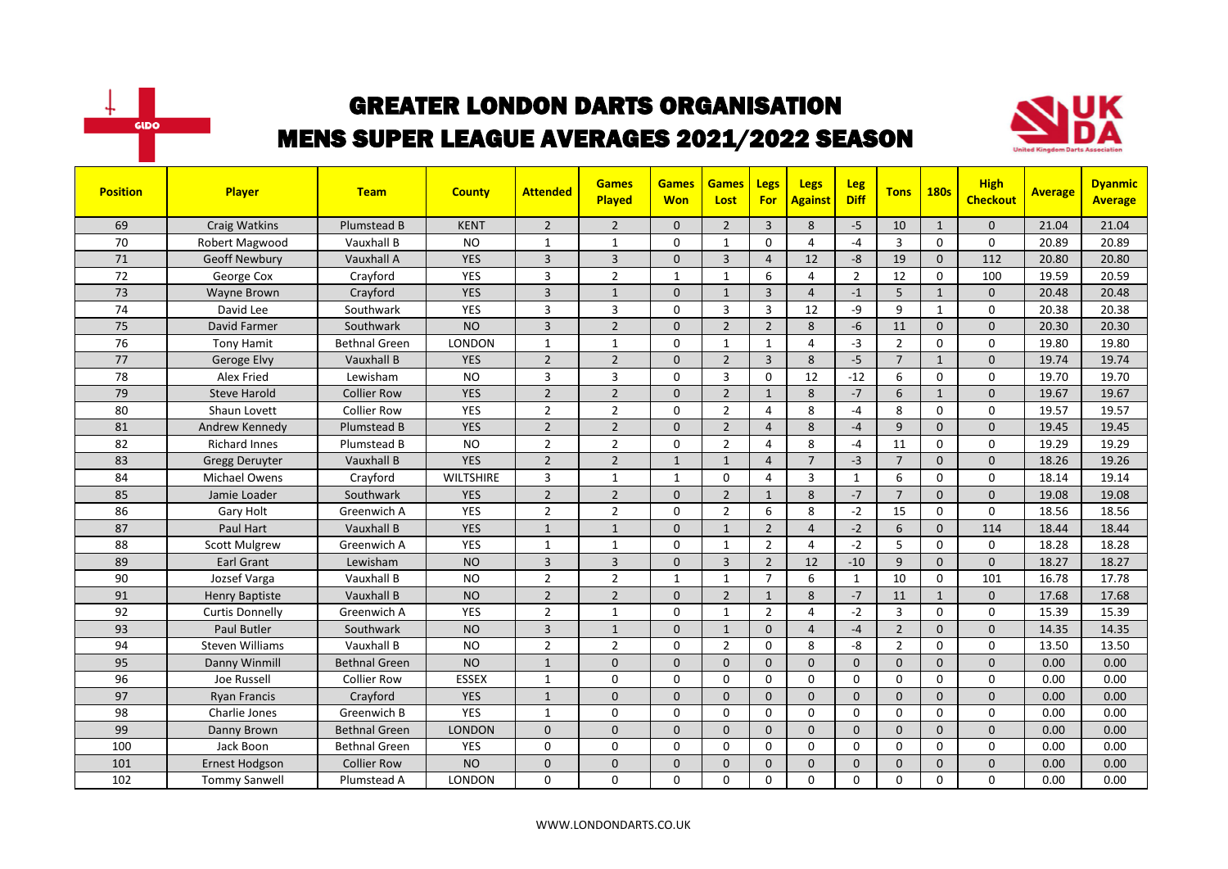



| <b>Position</b> | <b>Player</b>          | <b>Team</b>          | <b>County</b>    | <b>Attended</b> | <b>Games</b><br><b>Played</b> | <b>Games</b><br><b>Won</b> | <b>Games</b><br>Lost | <b>Legs</b><br><b>For</b> | <b>Legs</b><br><b>Against</b> | <b>Leg</b><br><b>Diff</b> | <b>Tons</b>    | <b>180s</b>  | <b>High</b><br><b>Checkout</b> | <b>Average</b> | <b>Dyanmic</b><br><b>Average</b> |
|-----------------|------------------------|----------------------|------------------|-----------------|-------------------------------|----------------------------|----------------------|---------------------------|-------------------------------|---------------------------|----------------|--------------|--------------------------------|----------------|----------------------------------|
| 69              | <b>Craig Watkins</b>   | Plumstead B          | <b>KENT</b>      | $\overline{2}$  | $\overline{2}$                | $\mathbf{0}$               | $\overline{2}$       | $\overline{3}$            | 8                             | $-5$                      | 10             | $\mathbf{1}$ | 0                              | 21.04          | 21.04                            |
| 70              | Robert Magwood         | Vauxhall B           | <b>NO</b>        | $\mathbf{1}$    | $\mathbf{1}$                  | $\Omega$                   | $\mathbf{1}$         | $\Omega$                  | $\overline{4}$                | $-4$                      | $\overline{3}$ | $\Omega$     | 0                              | 20.89          | 20.89                            |
| 71              | <b>Geoff Newbury</b>   | Vauxhall A           | <b>YES</b>       | 3               | $\overline{3}$                | $\mathbf{0}$               | 3                    | $\overline{4}$            | 12                            | -8                        | 19             | $\mathbf{0}$ | 112                            | 20.80          | 20.80                            |
| 72              | George Cox             | Crayford             | YES              | 3               | $\overline{2}$                | $\mathbf{1}$               | $\mathbf{1}$         | 6                         | $\overline{4}$                | $\overline{2}$            | 12             | $\mathbf 0$  | 100                            | 19.59          | 20.59                            |
| 73              | Wayne Brown            | Crayford             | <b>YES</b>       | $\overline{3}$  | $\mathbf{1}$                  | $\Omega$                   | $\mathbf{1}$         | $\overline{3}$            | $\overline{4}$                | $-1$                      | 5              | $\mathbf{1}$ | $\mathbf{0}$                   | 20.48          | 20.48                            |
| 74              | David Lee              | Southwark            | <b>YES</b>       | $\overline{3}$  | $\overline{3}$                | 0                          | $\overline{3}$       | $\overline{\mathbf{3}}$   | 12                            | -9                        | 9              | $\mathbf{1}$ | 0                              | 20.38          | 20.38                            |
| 75              | David Farmer           | Southwark            | <b>NO</b>        | $\overline{3}$  | $\overline{2}$                | $\Omega$                   | $\overline{2}$       | $\overline{2}$            | 8                             | $-6$                      | 11             | $\Omega$     | 0                              | 20.30          | 20.30                            |
| 76              | <b>Tony Hamit</b>      | <b>Bethnal Green</b> | LONDON           | $\mathbf{1}$    | $\mathbf{1}$                  | 0                          | $\mathbf{1}$         | $\mathbf{1}$              | $\overline{4}$                | $-3$                      | $\overline{2}$ | 0            | 0                              | 19.80          | 19.80                            |
| 77              | <b>Geroge Elvy</b>     | Vauxhall B           | <b>YES</b>       | $\overline{2}$  | $\overline{2}$                | $\mathbf{0}$               | $\overline{2}$       | $\overline{3}$            | 8                             | $-5$                      | $\overline{7}$ | $\mathbf{1}$ | $\mathbf{0}$                   | 19.74          | 19.74                            |
| 78              | Alex Fried             | Lewisham             | <b>NO</b>        | 3               | $\overline{3}$                | 0                          | 3                    | $\mathbf 0$               | 12                            | $-12$                     | 6              | 0            | 0                              | 19.70          | 19.70                            |
| 79              | <b>Steve Harold</b>    | <b>Collier Row</b>   | <b>YES</b>       | $\overline{2}$  | $\overline{2}$                | $\Omega$                   | $\overline{2}$       | $\mathbf{1}$              | 8                             | $-7$                      | 6              | $\mathbf{1}$ | $\Omega$                       | 19.67          | 19.67                            |
| 80              | Shaun Lovett           | <b>Collier Row</b>   | <b>YES</b>       | $\overline{2}$  | $\overline{2}$                | $\Omega$                   | $\overline{2}$       | $\overline{4}$            | 8                             | $-4$                      | 8              | $\Omega$     | $\Omega$                       | 19.57          | 19.57                            |
| 81              | Andrew Kennedy         | <b>Plumstead B</b>   | <b>YES</b>       | $\overline{2}$  | $\overline{2}$                | $\mathbf{0}$               | $\overline{2}$       | $\overline{4}$            | 8                             | $-4$                      | 9              | $\mathbf 0$  | 0                              | 19.45          | 19.45                            |
| 82              | <b>Richard Innes</b>   | Plumstead B          | <b>NO</b>        | $\overline{2}$  | $\overline{2}$                | 0                          | $\overline{2}$       | $\overline{4}$            | 8                             | $-4$                      | 11             | $\mathbf 0$  | 0                              | 19.29          | 19.29                            |
| 83              | Gregg Deruyter         | Vauxhall B           | <b>YES</b>       | $\overline{2}$  | $\overline{2}$                | $\mathbf{1}$               | $\mathbf{1}$         | $\overline{4}$            | $\overline{7}$                | $-3$                      | $\overline{7}$ | $\mathbf{0}$ | $\mathbf{0}$                   | 18.26          | 19.26                            |
| 84              | Michael Owens          | Crayford             | <b>WILTSHIRE</b> | 3               | $\mathbf{1}$                  | $\mathbf{1}$               | $\mathbf{0}$         | 4                         | $\overline{3}$                | $\mathbf{1}$              | 6              | $\mathbf 0$  | 0                              | 18.14          | 19.14                            |
| 85              | Jamie Loader           | Southwark            | <b>YES</b>       | $\overline{2}$  | $\overline{2}$                | $\mathbf{0}$               | $\overline{2}$       | $\mathbf{1}$              | 8                             | $-7$                      | $\overline{7}$ | $\mathbf{0}$ | 0                              | 19.08          | 19.08                            |
| 86              | Gary Holt              | Greenwich A          | YES              | $\overline{2}$  | $\overline{2}$                | 0                          | $\overline{2}$       | 6                         | 8                             | $-2$                      | 15             | $\mathbf 0$  | 0                              | 18.56          | 18.56                            |
| 87              | Paul Hart              | Vauxhall B           | <b>YES</b>       | $\mathbf{1}$    | $\mathbf{1}$                  | $\Omega$                   | $\mathbf{1}$         | $\overline{2}$            | $\overline{4}$                | $-2$                      | 6              | $\mathbf{0}$ | 114                            | 18.44          | 18.44                            |
| 88              | <b>Scott Mulgrew</b>   | Greenwich A          | <b>YES</b>       | $\mathbf{1}$    | $\mathbf{1}$                  | $\Omega$                   | $\mathbf{1}$         | $\overline{2}$            | $\overline{4}$                | $-2$                      | 5              | $\mathbf 0$  | 0                              | 18.28          | 18.28                            |
| 89              | <b>Earl Grant</b>      | Lewisham             | <b>NO</b>        | $\overline{3}$  | $\overline{3}$                | $\Omega$                   | $\overline{3}$       | $\overline{2}$            | 12                            | $-10$                     | 9              | $\Omega$     | $\overline{0}$                 | 18.27          | 18.27                            |
| 90              | Jozsef Varga           | Vauxhall B           | <b>NO</b>        | $\overline{2}$  | $\overline{2}$                | $\mathbf{1}$               | $\mathbf{1}$         | $\overline{7}$            | 6                             | $\mathbf{1}$              | 10             | 0            | 101                            | 16.78          | 17.78                            |
| 91              | <b>Henry Baptiste</b>  | Vauxhall B           | <b>NO</b>        | $\overline{2}$  | $\overline{2}$                | $\mathbf{0}$               | $\overline{2}$       | $\mathbf{1}$              | 8                             | $-7$                      | 11             | $\mathbf{1}$ | 0                              | 17.68          | 17.68                            |
| 92              | <b>Curtis Donnelly</b> | Greenwich A          | <b>YES</b>       | $\overline{2}$  | $\mathbf{1}$                  | 0                          | $\mathbf{1}$         | $\overline{2}$            | $\overline{4}$                | $-2$                      | $\overline{3}$ | $\mathbf 0$  | 0                              | 15.39          | 15.39                            |
| 93              | <b>Paul Butler</b>     | Southwark            | <b>NO</b>        | 3               | $\mathbf{1}$                  | $\mathbf 0$                | $\mathbf{1}$         | $\mathbf{0}$              | $\overline{4}$                | $-4$                      | $\overline{2}$ | $\Omega$     | $\Omega$                       | 14.35          | 14.35                            |
| 94              | <b>Steven Williams</b> | Vauxhall B           | <b>NO</b>        | $\overline{2}$  | $\overline{2}$                | $\Omega$                   | $\overline{2}$       | $\Omega$                  | 8                             | -8                        | $\overline{2}$ | $\Omega$     | $\Omega$                       | 13.50          | 13.50                            |
| 95              | Danny Winmill          | <b>Bethnal Green</b> | <b>NO</b>        | $\mathbf{1}$    | $\mathbf{0}$                  | $\mathbf{0}$               | $\mathbf{0}$         | $\mathbf{0}$              | $\mathbf{0}$                  | $\mathbf{0}$              | $\mathbf{0}$   | $\mathbf 0$  | 0                              | 0.00           | 0.00                             |
| 96              | Joe Russell            | <b>Collier Row</b>   | <b>ESSEX</b>     | $\mathbf{1}$    | $\Omega$                      | $\Omega$                   | $\Omega$             | $\mathbf 0$               | $\Omega$                      | $\Omega$                  | $\Omega$       | $\mathbf 0$  | 0                              | 0.00           | 0.00                             |
| 97              | <b>Ryan Francis</b>    | Crayford             | <b>YES</b>       | $\mathbf{1}$    | $\mathbf{0}$                  | $\mathbf 0$                | $\mathbf{0}$         | $\mathbf{0}$              | $\Omega$                      | $\Omega$                  | $\Omega$       | $\mathbf{0}$ | 0                              | 0.00           | 0.00                             |
| 98              | Charlie Jones          | Greenwich B          | <b>YES</b>       | $\mathbf{1}$    | $\Omega$                      | $\Omega$                   | $\Omega$             | $\Omega$                  | $\Omega$                      | $\Omega$                  | $\Omega$       | $\Omega$     | 0                              | 0.00           | 0.00                             |
| 99              | Danny Brown            | <b>Bethnal Green</b> | <b>LONDON</b>    | $\Omega$        | $\Omega$                      | $\Omega$                   | $\Omega$             | $\Omega$                  | $\Omega$                      | $\Omega$                  | $\Omega$       | $\Omega$     | 0                              | 0.00           | 0.00                             |
| 100             | Jack Boon              | <b>Bethnal Green</b> | <b>YES</b>       | 0               | 0                             | 0                          | $\mathbf 0$          | 0                         | 0                             | 0                         | $\mathbf 0$    | $\mathbf 0$  | 0                              | 0.00           | 0.00                             |
| 101             | Ernest Hodgson         | <b>Collier Row</b>   | <b>NO</b>        | 0               | $\mathbf{0}$                  | 0                          | 0                    | $\mathbf{0}$              | $\mathbf 0$                   | $\mathbf{0}$              | $\Omega$       | $\mathbf 0$  | 0                              | 0.00           | 0.00                             |
| 102             | <b>Tommy Sanwell</b>   | Plumstead A          | LONDON           | 0               | 0                             | $\Omega$                   | $\Omega$             | $\mathbf 0$               | $\Omega$                      | $\Omega$                  | $\Omega$       | $\Omega$     | $\Omega$                       | 0.00           | 0.00                             |